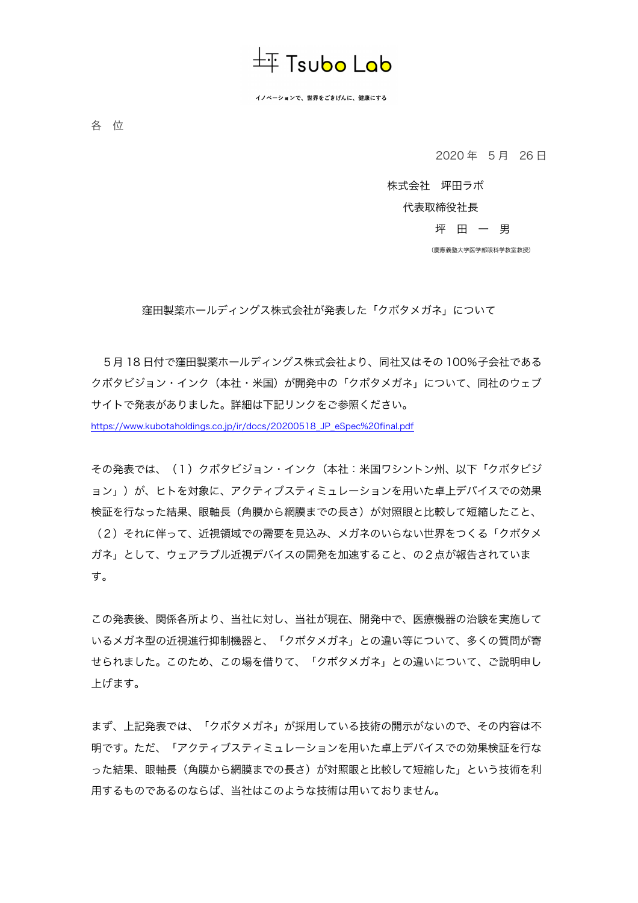

イノベーションで、世界をごきげんに、健康にする

各 位

2020 年 5 月 26 日

株式会社 坪田ラボ

代表取締役社長

坪 田 一 男

(慶應義塾大学医学部眼科学教室教授)

窪田製薬ホールディングス株式会社が発表した「クボタメガネ」について

5月 18 日付で窪田製薬ホールディングス株式会社より、同社又はその 100%子会社である クボタビジョン・インク(本社・米国)が開発中の「クボタメガネ」について、同社のウェブ サイトで発表がありました。詳細は下記リンクをご参照ください。 https://www.kubotaholdings.co.jp/ir/docs/20200518\_JP\_eSpec%20final.pdf

その発表では、(1)クボタビジョン・インク(本社:米国ワシントン州、以下「クボタビジ ョン」)が、ヒトを対象に、アクティブスティミュレーションを用いた卓上デバイスでの効果 検証を行なった結果、眼軸長(角膜から網膜までの長さ)が対照眼と比較して短縮したこと、 (2)それに伴って、近視領域での需要を見込み、メガネのいらない世界をつくる「クボタメ ガネ」として、ウェアラブル近視デバイスの開発を加速すること、の2点が報告されていま す。

この発表後、関係各所より、当社に対し、当社が現在、開発中で、医療機器の治験を実施して いるメガネ型の近視進行抑制機器と、「クボタメガネ」との違い等について、多くの質問が寄 せられました。このため、この場を借りて、「クボタメガネ」との違いについて、ご説明申し 上げます。

まず、上記発表では、「クボタメガネ」が採用している技術の開示がないので、その内容は不 明です。ただ、「アクティブスティミュレーションを用いた卓上デバイスでの効果検証を行な った結果、眼軸長(角膜から網膜までの長さ)が対照眼と比較して短縮した」という技術を利 用するものであるのならば、当社はこのような技術は用いておりません。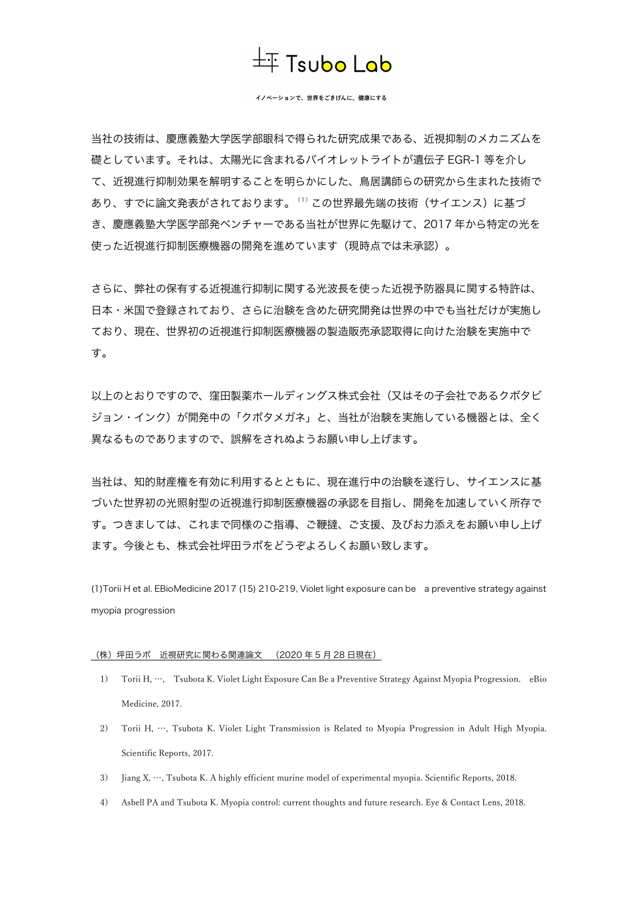## $\pm$  Tsubo Lab

イノベーションで、世界をごきげんに、健康にする

当社の技術は、慶應義塾大学医学部眼科で得られた研究成果である、近視抑制のメカニズムを 礎としています。それは、太陽光に含まれるバイオレットライトが遺伝子 EGR-1 等を介し て、近視進行抑制効果を解明することを明らかにした、鳥居講師らの研究から生まれた技術で あり、すでに論文発表がされております。(1)この世界最先端の技術(サイエンス)に基づ き、慶應義塾大学医学部発ベンチャーである当社が世界に先駆けて、2017 年から特定の光を 使った近視進行抑制医療機器の開発を進めています(現時点では未承認)。

さらに、弊社の保有する近視進行抑制に関する光波長を使った近視予防器具に関する特許は、 日本・米国で登録されており、さらに治験を含めた研究開発は世界の中でも当社だけが実施し ており、現在、世界初の近視進行抑制医療機器の製造販売承認取得に向けた治験を実施中で す。

以上のとおりですので、窪田製薬ホールディングス株式会社(又はその子会社であるクボタビ ジョン・インク)が開発中の「クボタメガネ」と、当社が治験を実施している機器とは、全く 異なるものでありますので、誤解をされぬようお願い申し上げます。

当社は、知的財産権を有効に利用するとともに、現在進行中の治験を遂行し、サイエンスに基 づいた世界初の光照射型の近視進行抑制医療機器の承認を目指し、開発を加速していく所存で す。つきましては、これまで同様のご指導、ご鞭撻、ご支援、及びお力添えをお願い申し上げ ます。今後とも、株式会社坪田ラボをどうぞよろしくお願い致します。

(1)Torii H et al. EBioMedicine 2017 (15) 210-219, Violet light exposure can be a preventive strategy against myopia progression

## (株)坪田ラボ 近視研究に関わる関連論文 (2020 年 5 月 28 日現在)

- 1) Torii H, …, Tsubota K. Violet Light Exposure Can Be a Preventive Strategy Against Myopia Progression. eBio Medicine, 2017.
- 2) Torii H, …, Tsubota K. Violet Light Transmission is Related to Myopia Progression in Adult High Myopia. Scientific Reports, 2017.
- 3) Jiang X, …, Tsubota K. A highly efficient murine model of experimental myopia. Scientific Reports, 2018.
- 4) Asbell PA and Tsubota K. Myopia control: current thoughts and future research. Eye & Contact Lens, 2018.